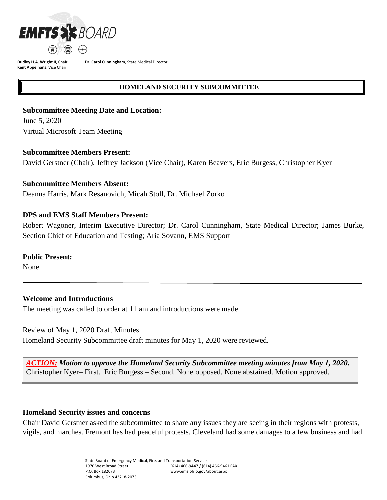

**Dudley H.A. Wright II**, Chair **Kent Appelhans**, Vice Chair

**Dr. Carol Cunningham**, State Medical Director

## **HOMELAND SECURITY SUBCOMMITTEE**

## **Subcommittee Meeting Date and Location:**

June 5, 2020 Virtual Microsoft Team Meeting

## **Subcommittee Members Present:**

David Gerstner (Chair), Jeffrey Jackson (Vice Chair), Karen Beavers, Eric Burgess, Christopher Kyer

## **Subcommittee Members Absent:**

Deanna Harris, Mark Resanovich, Micah Stoll, Dr. Michael Zorko

## **DPS and EMS Staff Members Present:**

Robert Wagoner, Interim Executive Director; Dr. Carol Cunningham, State Medical Director; James Burke, Section Chief of Education and Testing; Aria Sovann, EMS Support

## **Public Present:**

None

# **Welcome and Introductions**

The meeting was called to order at 11 am and introductions were made.

Review of May 1, 2020 Draft Minutes

Homeland Security Subcommittee draft minutes for May 1, 2020 were reviewed.

*ACTION: Motion to approve the Homeland Security Subcommittee meeting minutes from May 1, 2020.*  Christopher Kyer– First. Eric Burgess – Second. None opposed. None abstained. Motion approved.

## **Homeland Security issues and concerns**

Chair David Gerstner asked the subcommittee to share any issues they are seeing in their regions with protests, vigils, and marches. Fremont has had peaceful protests. Cleveland had some damages to a few business and had